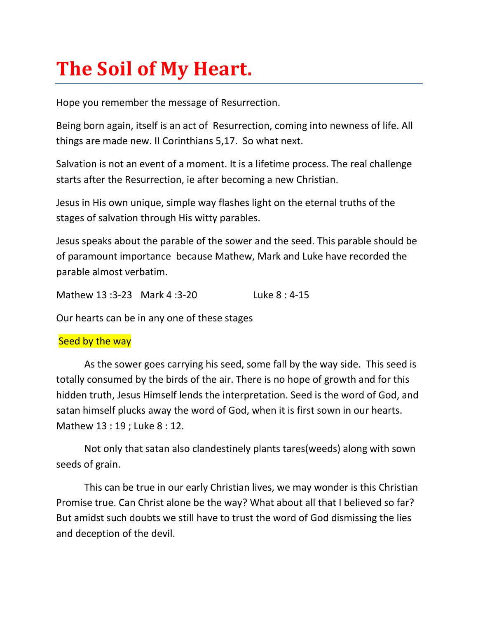# **The Soil of My Heart.**

Hope you remember the message of Resurrection.

Being born again, itself is an act of Resurrection, coming into newness of life. All things are made new. II Corinthians 5,17. So what next.

Salvation is not an event of a moment. It is a lifetime process. The real challenge starts after the Resurrection, ie after becoming a new Christian.

Jesus in His own unique, simple way flashes light on the eternal truths of the stages of salvation through His witty parables.

Jesus speaks about the parable of the sower and the seed. This parable should be of paramount importance because Mathew, Mark and Luke have recorded the parable almost verbatim.

Mathew 13 :3-23 Mark 4 :3-20 Luke 8 : 4-15

Our hearts can be in any one of these stages

## Seed by the way

As the sower goes carrying his seed, some fall by the way side. This seed is totally consumed by the birds of the air. There is no hope of growth and for this hidden truth, Jesus Himself lends the interpretation. Seed is the word of God, and satan himself plucks away the word of God, when it is first sown in our hearts. Mathew 13 : 19 ; Luke 8 : 12.

Not only that satan also clandestinely plants tares(weeds) along with sown seeds of grain.

This can be true in our early Christian lives, we may wonder is this Christian Promise true. Can Christ alone be the way? What about all that I believed so far? But amidst such doubts we still have to trust the word of God dismissing the lies and deception of the devil.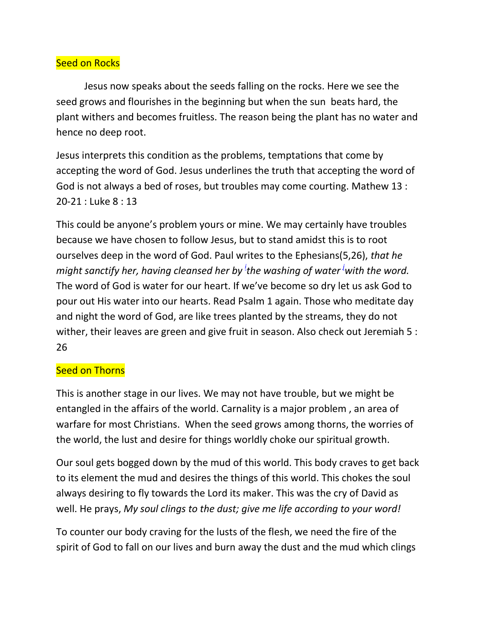# **Seed on Rocks**

Jesus now speaks about the seeds falling on the rocks. Here we see the seed grows and flourishes in the beginning but when the sun beats hard, the plant withers and becomes fruitless. The reason being the plant has no water and hence no deep root.

Jesus interprets this condition as the problems, temptations that come by accepting the word of God. Jesus underlines the truth that accepting the word of God is not always a bed of roses, but troubles may come courting. Mathew 13 : 20-21 : Luke 8 : 13

This could be anyone's problem yours or mine. We may certainly have troubles because we have chosen to follow Jesus, but to stand amidst this is to root ourselves deep in the word of God. Paul writes to the Ephesians(5,26), *that he might sanctify her, having cleansed her by<sup>i</sup> the washing of water<sup>j</sup>with the word.* The word of God is water for our heart. If we've become so dry let us ask God to pour out His water into our hearts. Read Psalm 1 again. Those who meditate day and night the word of God, are like trees planted by the streams, they do not wither, their leaves are green and give fruit in season. Also check out Jeremiah 5 : 26

## Seed on Thorns

This is another stage in our lives. We may not have trouble, but we might be entangled in the affairs of the world. Carnality is a major problem , an area of warfare for most Christians. When the seed grows among thorns, the worries of the world, the lust and desire for things worldly choke our spiritual growth.

Our soul gets bogged down by the mud of this world. This body craves to get back to its element the mud and desires the things of this world. This chokes the soul always desiring to fly towards the Lord its maker. This was the cry of David as well. He prays, *My soul clings to the dust; give me life according to your word!* 

To counter our body craving for the lusts of the flesh, we need the fire of the spirit of God to fall on our lives and burn away the dust and the mud which clings